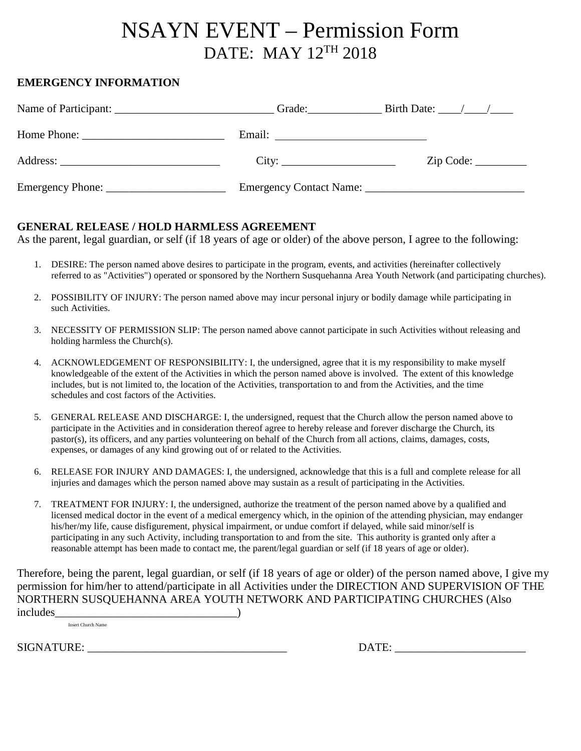## NSAYN EVENT – Permission Form DATE: MAY 12TH 2018

## **EMERGENCY INFORMATION**

|                                        | Grade: $\qquad \qquad$ Birth Date: $\qquad \qquad$ |
|----------------------------------------|----------------------------------------------------|
| Email: <u>________________________</u> |                                                    |
|                                        | Zip Code:                                          |
|                                        |                                                    |

## **GENERAL RELEASE / HOLD HARMLESS AGREEMENT**

As the parent, legal guardian, or self (if 18 years of age or older) of the above person, I agree to the following:

- 1. DESIRE: The person named above desires to participate in the program, events, and activities (hereinafter collectively referred to as "Activities") operated or sponsored by the Northern Susquehanna Area Youth Network (and participating churches).
- 2. POSSIBILITY OF INJURY: The person named above may incur personal injury or bodily damage while participating in such Activities.
- 3. NECESSITY OF PERMISSION SLIP: The person named above cannot participate in such Activities without releasing and holding harmless the Church(s).
- 4. ACKNOWLEDGEMENT OF RESPONSIBILITY: I, the undersigned, agree that it is my responsibility to make myself knowledgeable of the extent of the Activities in which the person named above is involved. The extent of this knowledge includes, but is not limited to, the location of the Activities, transportation to and from the Activities, and the time schedules and cost factors of the Activities.
- 5. GENERAL RELEASE AND DISCHARGE: I, the undersigned, request that the Church allow the person named above to participate in the Activities and in consideration thereof agree to hereby release and forever discharge the Church, its pastor(s), its officers, and any parties volunteering on behalf of the Church from all actions, claims, damages, costs, expenses, or damages of any kind growing out of or related to the Activities.
- 6. RELEASE FOR INJURY AND DAMAGES: I, the undersigned, acknowledge that this is a full and complete release for all injuries and damages which the person named above may sustain as a result of participating in the Activities.
- 7. TREATMENT FOR INJURY: I, the undersigned, authorize the treatment of the person named above by a qualified and licensed medical doctor in the event of a medical emergency which, in the opinion of the attending physician, may endanger his/her/my life, cause disfigurement, physical impairment, or undue comfort if delayed, while said minor/self is participating in any such Activity, including transportation to and from the site. This authority is granted only after a reasonable attempt has been made to contact me, the parent/legal guardian or self (if 18 years of age or older).

Therefore, being the parent, legal guardian, or self (if 18 years of age or older) of the person named above, I give my permission for him/her to attend/participate in all Activities under the DIRECTION AND SUPERVISION OF THE NORTHERN SUSQUEHANNA AREA YOUTH NETWORK AND PARTICIPATING CHURCHES (Also includes\_\_\_\_\_\_\_\_\_\_\_\_\_\_\_\_\_\_\_\_\_\_\_\_\_\_\_\_\_\_\_\_)

Insert Church Name

SIGNATURE: \_\_\_\_\_\_\_\_\_\_\_\_\_\_\_\_\_\_\_\_\_\_\_\_\_\_\_\_\_\_\_\_\_\_\_ DATE: \_\_\_\_\_\_\_\_\_\_\_\_\_\_\_\_\_\_\_\_\_\_\_